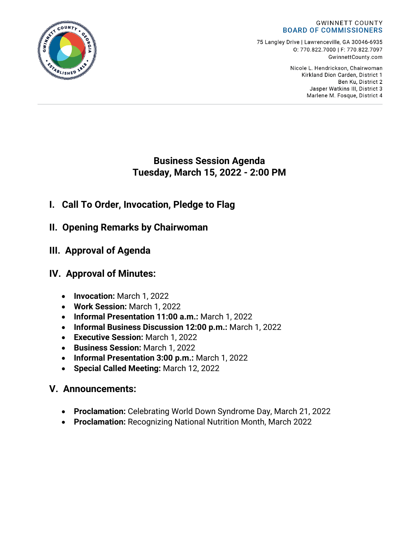

75 Langley Drive | Lawrenceville, GA 30046-6935 0:770.822.7000 | F: 770.822.7097 GwinnettCounty.com

> Nicole L. Hendrickson, Chairwoman Kirkland Dion Carden, District 1 Ben Ku. District 2 Jasper Watkins III, District 3 Marlene M. Fosque, District 4



- **I. Call To Order, Invocation, Pledge to Flag**
- **II. Opening Remarks by Chairwoman**
- **III. Approval of Agenda**
- **IV. Approval of Minutes:**
	- **Invocation:** March 1, 2022
	- **Work Session:** March 1, 2022
	- **Informal Presentation 11:00 a.m.:** March 1, 2022
	- **Informal Business Discussion 12:00 p.m.:** March 1, 2022
	- **Executive Session:** March 1, 2022
	- **Business Session:** March 1, 2022
	- **Informal Presentation 3:00 p.m.:** March 1, 2022
	- **Special Called Meeting:** March 12, 2022

# **V. Announcements:**

- **Proclamation:** Celebrating World Down Syndrome Day, March 21, 2022
- **Proclamation:** Recognizing National Nutrition Month, March 2022

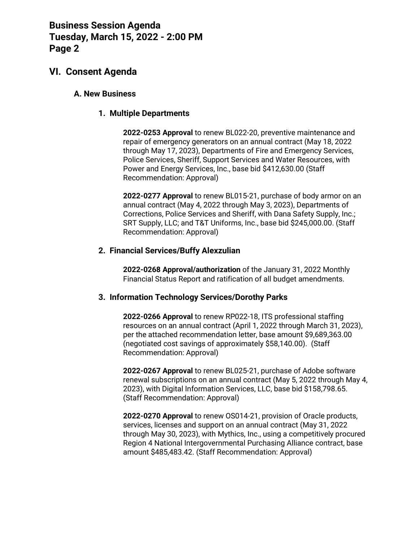## **VI. Consent Agenda**

#### **A. New Business**

#### **1. Multiple Departments**

**2022-0253 Approval** to renew BL022-20, preventive maintenance and repair of emergency generators on an annual contract (May 18, 2022 through May 17, 2023), Departments of Fire and Emergency Services, Police Services, Sheriff, Support Services and Water Resources, with Power and Energy Services, Inc., base bid \$412,630.00 (Staff Recommendation: Approval)

**2022-0277 Approval** to renew BL015-21, purchase of body armor on an annual contract (May 4, 2022 through May 3, 2023), Departments of Corrections, Police Services and Sheriff, with Dana Safety Supply, Inc.; SRT Supply, LLC; and T&T Uniforms, Inc., base bid \$245,000.00. (Staff Recommendation: Approval)

#### **2. Financial Services/Buffy Alexzulian**

**2022-0268 Approval/authorization** of the January 31, 2022 Monthly Financial Status Report and ratification of all budget amendments.

#### **3. Information Technology Services/Dorothy Parks**

**2022-0266 Approval** to renew RP022-18, ITS professional staffing resources on an annual contract (April 1, 2022 through March 31, 2023), per the attached recommendation letter, base amount \$9,689,363.00 (negotiated cost savings of approximately \$58,140.00). (Staff Recommendation: Approval)

**2022-0267 Approval** to renew BL025-21, purchase of Adobe software renewal subscriptions on an annual contract (May 5, 2022 through May 4, 2023), with Digital Information Services, LLC, base bid \$158,798.65. (Staff Recommendation: Approval)

**2022-0270 Approval** to renew OS014-21, provision of Oracle products, services, licenses and support on an annual contract (May 31, 2022 through May 30, 2023), with Mythics, Inc., using a competitively procured Region 4 National Intergovernmental Purchasing Alliance contract, base amount \$485,483.42. (Staff Recommendation: Approval)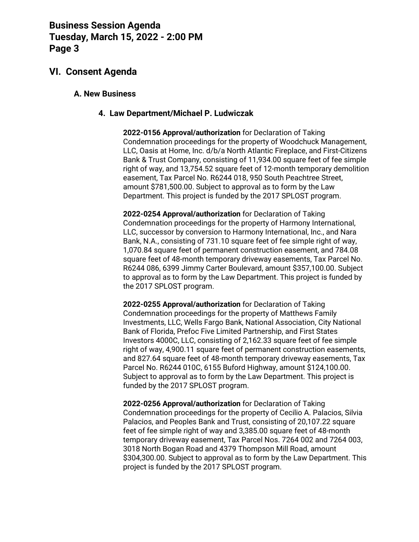## **VI. Consent Agenda**

#### **A. New Business**

#### **4. Law Department/Michael P. Ludwiczak**

**2022-0156 Approval/authorization** for Declaration of Taking Condemnation proceedings for the property of Woodchuck Management, LLC, Oasis at Home, Inc. d/b/a North Atlantic Fireplace, and First-Citizens Bank & Trust Company, consisting of 11,934.00 square feet of fee simple right of way, and 13,754.52 square feet of 12-month temporary demolition easement, Tax Parcel No. R6244 018, 950 South Peachtree Street, amount \$781,500.00. Subject to approval as to form by the Law Department. This project is funded by the 2017 SPLOST program.

**2022-0254 Approval/authorization** for Declaration of Taking Condemnation proceedings for the property of Harmony International, LLC, successor by conversion to Harmony International, Inc., and Nara Bank, N.A., consisting of 731.10 square feet of fee simple right of way, 1,070.84 square feet of permanent construction easement, and 784.08 square feet of 48-month temporary driveway easements, Tax Parcel No. R6244 086, 6399 Jimmy Carter Boulevard, amount \$357,100.00. Subject to approval as to form by the Law Department. This project is funded by the 2017 SPLOST program.

**2022-0255 Approval/authorization** for Declaration of Taking Condemnation proceedings for the property of Matthews Family Investments, LLC, Wells Fargo Bank, National Association, City National Bank of Florida, Prefoc Five Limited Partnership, and First States Investors 4000C, LLC, consisting of 2,162.33 square feet of fee simple right of way, 4,900.11 square feet of permanent construction easements, and 827.64 square feet of 48-month temporary driveway easements, Tax Parcel No. R6244 010C, 6155 Buford Highway, amount \$124,100.00. Subject to approval as to form by the Law Department. This project is funded by the 2017 SPLOST program.

**2022-0256 Approval/authorization** for Declaration of Taking Condemnation proceedings for the property of Cecilio A. Palacios, Silvia Palacios, and Peoples Bank and Trust, consisting of 20,107.22 square feet of fee simple right of way and 3,385.00 square feet of 48-month temporary driveway easement, Tax Parcel Nos. 7264 002 and 7264 003, 3018 North Bogan Road and 4379 Thompson Mill Road, amount \$304,300.00. Subject to approval as to form by the Law Department. This project is funded by the 2017 SPLOST program.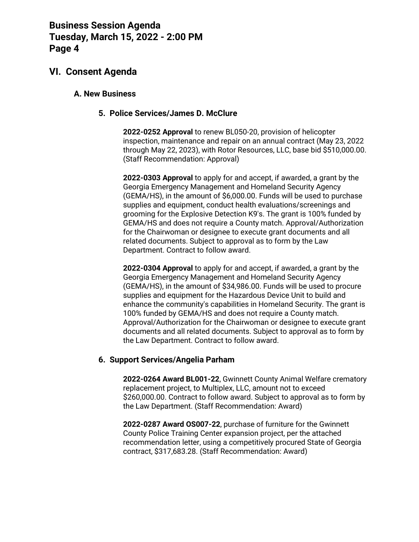## **VI. Consent Agenda**

#### **A. New Business**

### **5. Police Services/James D. McClure**

**2022-0252 Approval** to renew BL050-20, provision of helicopter inspection, maintenance and repair on an annual contract (May 23, 2022 through May 22, 2023), with Rotor Resources, LLC, base bid \$510,000.00. (Staff Recommendation: Approval)

**2022-0303 Approval** to apply for and accept, if awarded, a grant by the Georgia Emergency Management and Homeland Security Agency (GEMA/HS), in the amount of \$6,000.00. Funds will be used to purchase supplies and equipment, conduct health evaluations/screenings and grooming for the Explosive Detection K9's. The grant is 100% funded by GEMA/HS and does not require a County match. Approval/Authorization for the Chairwoman or designee to execute grant documents and all related documents. Subject to approval as to form by the Law Department. Contract to follow award.

**2022-0304 Approval** to apply for and accept, if awarded, a grant by the Georgia Emergency Management and Homeland Security Agency (GEMA/HS), in the amount of \$34,986.00. Funds will be used to procure supplies and equipment for the Hazardous Device Unit to build and enhance the community's capabilities in Homeland Security. The grant is 100% funded by GEMA/HS and does not require a County match. Approval/Authorization for the Chairwoman or designee to execute grant documents and all related documents. Subject to approval as to form by the Law Department. Contract to follow award.

### **6. Support Services/Angelia Parham**

**2022-0264 Award BL001-22**, Gwinnett County Animal Welfare crematory replacement project, to Multiplex, LLC, amount not to exceed \$260,000.00. Contract to follow award. Subject to approval as to form by the Law Department. (Staff Recommendation: Award)

**2022-0287 Award OS007-22**, purchase of furniture for the Gwinnett County Police Training Center expansion project, per the attached recommendation letter, using a competitively procured State of Georgia contract, \$317,683.28. (Staff Recommendation: Award)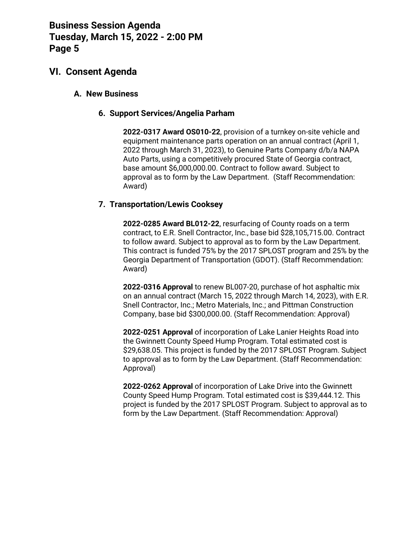## **VI. Consent Agenda**

#### **A. New Business**

#### **6. Support Services/Angelia Parham**

**2022-0317 Award OS010-22**, provision of a turnkey on-site vehicle and equipment maintenance parts operation on an annual contract (April 1, 2022 through March 31, 2023), to Genuine Parts Company d/b/a NAPA Auto Parts, using a competitively procured State of Georgia contract, base amount \$6,000,000.00. Contract to follow award. Subject to approval as to form by the Law Department. (Staff Recommendation: Award)

### **7. Transportation/Lewis Cooksey**

**2022-0285 Award BL012-22**, resurfacing of County roads on a term contract, to E.R. Snell Contractor, Inc., base bid \$28,105,715.00. Contract to follow award. Subject to approval as to form by the Law Department. This contract is funded 75% by the 2017 SPLOST program and 25% by the Georgia Department of Transportation (GDOT). (Staff Recommendation: Award)

**2022-0316 Approval** to renew BL007-20, purchase of hot asphaltic mix on an annual contract (March 15, 2022 through March 14, 2023), with E.R. Snell Contractor, Inc.; Metro Materials, Inc.; and Pittman Construction Company, base bid \$300,000.00. (Staff Recommendation: Approval)

**2022-0251 Approval** of incorporation of Lake Lanier Heights Road into the Gwinnett County Speed Hump Program. Total estimated cost is \$29,638.05. This project is funded by the 2017 SPLOST Program. Subject to approval as to form by the Law Department. (Staff Recommendation: Approval)

**2022-0262 Approval** of incorporation of Lake Drive into the Gwinnett County Speed Hump Program. Total estimated cost is \$39,444.12. This project is funded by the 2017 SPLOST Program. Subject to approval as to form by the Law Department. (Staff Recommendation: Approval)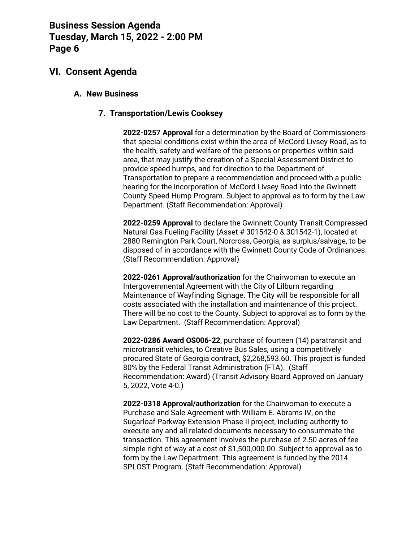## **VI. Consent Agenda**

#### **A. New Business**

### **7. Transportation/Lewis Cooksey**

**2022-0257 Approval** for a determination by the Board of Commissioners that special conditions exist within the area of McCord Livsey Road, as to the health, safety and welfare of the persons or properties within said area, that may justify the creation of a Special Assessment District to provide speed humps, and for direction to the Department of Transportation to prepare a recommendation and proceed with a public hearing for the incorporation of McCord Livsey Road into the Gwinnett County Speed Hump Program. Subject to approval as to form by the Law Department. (Staff Recommendation: Approval)

**2022-0259 Approval** to declare the Gwinnett County Transit Compressed Natural Gas Fueling Facility (Asset # 301542-0 & 301542-1), located at 2880 Remington Park Court, Norcross, Georgia, as surplus/salvage, to be disposed of in accordance with the Gwinnett County Code of Ordinances. (Staff Recommendation: Approval)

**2022-0261 Approval/authorization** for the Chairwoman to execute an Intergovernmental Agreement with the City of Lilburn regarding Maintenance of Wayfinding Signage. The City will be responsible for all costs associated with the installation and maintenance of this project. There will be no cost to the County. Subject to approval as to form by the Law Department. (Staff Recommendation: Approval)

**2022-0286 Award OS006-22**, purchase of fourteen (14) paratransit and microtransit vehicles, to Creative Bus Sales, using a competitively procured State of Georgia contract, \$2,268,593.60. This project is funded 80% by the Federal Transit Administration (FTA). (Staff Recommendation: Award) (Transit Advisory Board Approved on January 5, 2022, Vote 4-0.)

**2022-0318 Approval/authorization** for the Chairwoman to execute a Purchase and Sale Agreement with William E. Abrams IV, on the Sugarloaf Parkway Extension Phase II project, including authority to execute any and all related documents necessary to consummate the transaction. This agreement involves the purchase of 2.50 acres of fee simple right of way at a cost of \$1,500,000.00. Subject to approval as to form by the Law Department. This agreement is funded by the 2014 SPLOST Program. (Staff Recommendation: Approval)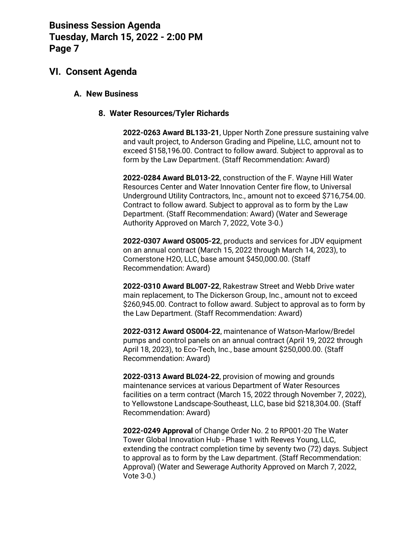### **VI. Consent Agenda**

#### **A. New Business**

#### **8. Water Resources/Tyler Richards**

**2022-0263 Award BL133-21**, Upper North Zone pressure sustaining valve and vault project, to Anderson Grading and Pipeline, LLC, amount not to exceed \$158,196.00. Contract to follow award. Subject to approval as to form by the Law Department. (Staff Recommendation: Award)

**2022-0284 Award BL013-22**, construction of the F. Wayne Hill Water Resources Center and Water Innovation Center fire flow, to Universal Underground Utility Contractors, Inc., amount not to exceed \$716,754.00. Contract to follow award. Subject to approval as to form by the Law Department. (Staff Recommendation: Award) (Water and Sewerage Authority Approved on March 7, 2022, Vote 3-0.)

**2022-0307 Award OS005-22**, products and services for JDV equipment on an annual contract (March 15, 2022 through March 14, 2023), to Cornerstone H2O, LLC, base amount \$450,000.00. (Staff Recommendation: Award)

**2022-0310 Award BL007-22**, Rakestraw Street and Webb Drive water main replacement, to The Dickerson Group, Inc., amount not to exceed \$260,945.00. Contract to follow award. Subject to approval as to form by the Law Department. (Staff Recommendation: Award)

**2022-0312 Award OS004-22**, maintenance of Watson-Marlow/Bredel pumps and control panels on an annual contract (April 19, 2022 through April 18, 2023), to Eco-Tech, Inc., base amount \$250,000.00. (Staff Recommendation: Award)

**2022-0313 Award BL024-22**, provision of mowing and grounds maintenance services at various Department of Water Resources facilities on a term contract (March 15, 2022 through November 7, 2022), to Yellowstone Landscape-Southeast, LLC, base bid \$218,304.00. (Staff Recommendation: Award)

**2022-0249 Approval** of Change Order No. 2 to RP001-20 The Water Tower Global Innovation Hub - Phase 1 with Reeves Young, LLC, extending the contract completion time by seventy two (72) days. Subject to approval as to form by the Law department. (Staff Recommendation: Approval) (Water and Sewerage Authority Approved on March 7, 2022, Vote 3-0.)